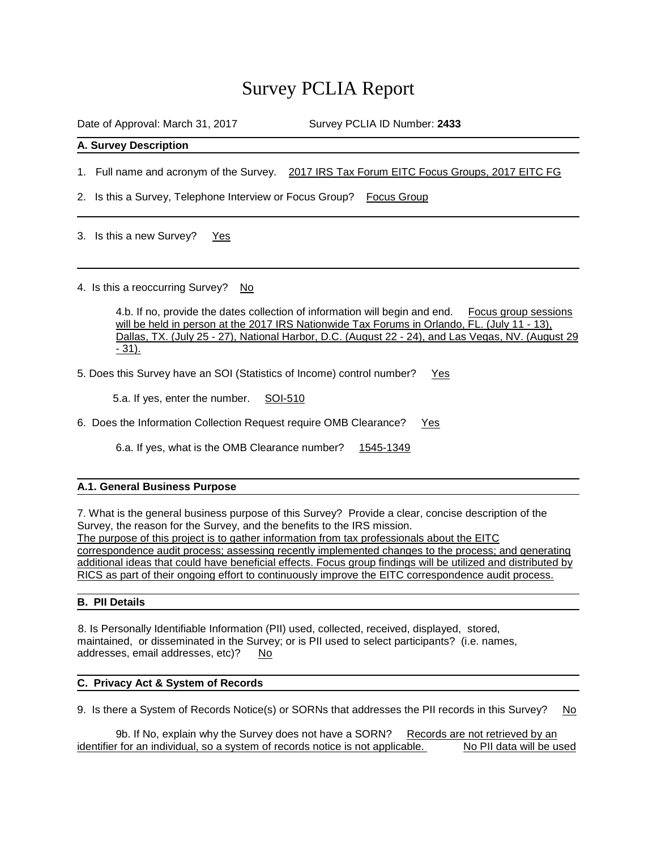# Survey PCLIA Report

Date of Approval: March 31, 2017 Survey PCLIA ID Number: 2433

## **A. Survey Description**

1. Full name and acronym of the Survey. 2017 IRS Tax Forum EITC Focus Groups, 2017 EITC FG

2. Is this a Survey, Telephone Interview or Focus Group? Focus Group

3. Is this a new Survey? Yes

4. Is this a reoccurring Survey? No

4.b. If no, provide the dates collection of information will begin and end. Focus group sessions will be held in person at the 2017 IRS Nationwide Tax Forums in Orlando, FL. (July 11 - 13), Dallas, TX. (July 25 - 27), National Harbor, D.C. (August 22 - 24), and Las Vegas, NV. (August 29 - 31).

5. Does this Survey have an SOI (Statistics of Income) control number? Yes

5.a. If yes, enter the number. SOI-510

6. Does the Information Collection Request require OMB Clearance? Yes

6.a. If yes, what is the OMB Clearance number? 1545-1349

## **A.1. General Business Purpose**

7. What is the general business purpose of this Survey? Provide a clear, concise description of the Survey, the reason for the Survey, and the benefits to the IRS mission. The purpose of this project is to gather information from tax professionals about the EITC correspondence audit process; assessing recently implemented changes to the process; and generating additional ideas that could have beneficial effects. Focus group findings will be utilized and distributed by RICS as part of their ongoing effort to continuously improve the EITC correspondence audit process.

# **B. PII Details**

8. Is Personally Identifiable Information (PII) used, collected, received, displayed, stored, maintained, or disseminated in the Survey; or is PII used to select participants? (i.e. names, addresses, email addresses, etc)? No

## **C. Privacy Act & System of Records**

9. Is there a System of Records Notice(s) or SORNs that addresses the PII records in this Survey? No

9b. If No, explain why the Survey does not have a SORN? Records are not retrieved by an identifier for an individual, so a system of records notice is not applicable. No PII data will be used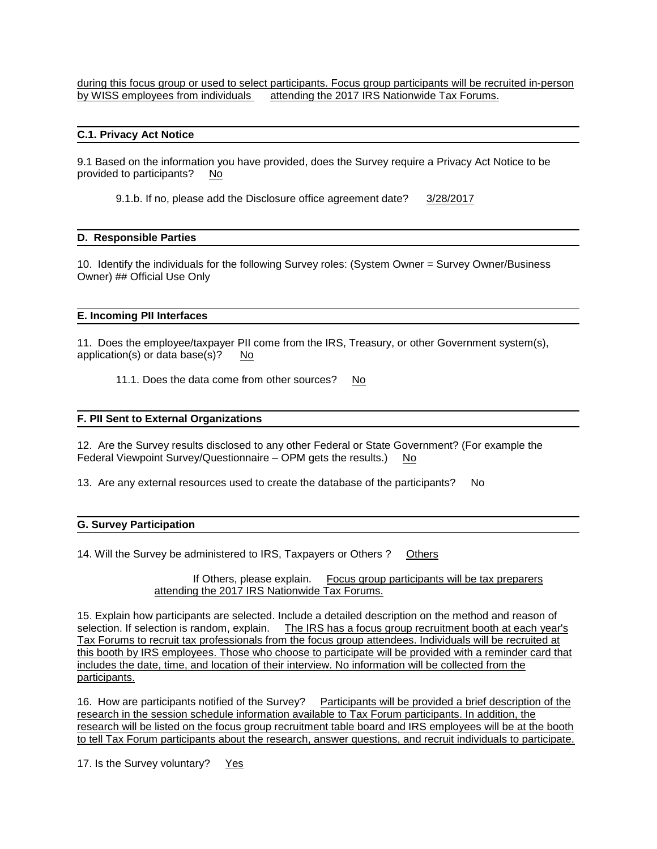during this focus group or used to select participants. Focus group participants will be recruited in-person by WISS employees from individuals attending the 2017 IRS Nationwide Tax Forums.

### **C.1. Privacy Act Notice**

9.1 Based on the information you have provided, does the Survey require a Privacy Act Notice to be provided to participants? No

9.1.b. If no, please add the Disclosure office agreement date? 3/28/2017

#### **D. Responsible Parties**

10. Identify the individuals for the following Survey roles: (System Owner = Survey Owner/Business Owner) ## Official Use Only

#### **E. Incoming PII Interfaces**

11. Does the employee/taxpayer PII come from the IRS, Treasury, or other Government system(s), application(s) or data base(s)? No

11.1. Does the data come from other sources? No

#### **F. PII Sent to External Organizations**

12. Are the Survey results disclosed to any other Federal or State Government? (For example the Federal Viewpoint Survey/Questionnaire – OPM gets the results.) No

13. Are any external resources used to create the database of the participants? No

#### **G. Survey Participation**

14. Will the Survey be administered to IRS, Taxpayers or Others ? Others

If Others, please explain. Focus group participants will be tax preparers attending the 2017 IRS Nationwide Tax Forums.

15. Explain how participants are selected. Include a detailed description on the method and reason of selection. If selection is random, explain. The IRS has a focus group recruitment booth at each year's Tax Forums to recruit tax professionals from the focus group attendees. Individuals will be recruited at this booth by IRS employees. Those who choose to participate will be provided with a reminder card that includes the date, time, and location of their interview. No information will be collected from the participants.

16. How are participants notified of the Survey? Participants will be provided a brief description of the research in the session schedule information available to Tax Forum participants. In addition, the research will be listed on the focus group recruitment table board and IRS employees will be at the booth to tell Tax Forum participants about the research, answer questions, and recruit individuals to participate.

17. Is the Survey voluntary? Yes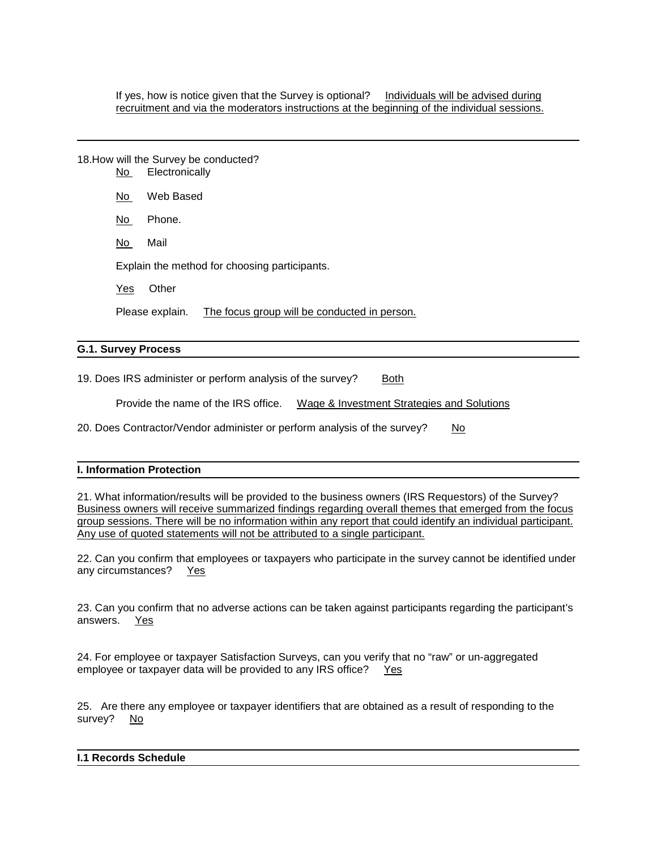If yes, how is notice given that the Survey is optional? Individuals will be advised during recruitment and via the moderators instructions at the beginning of the individual sessions.

|                      | No l | 18. How will the Survey be conducted?<br>Electronically         |
|----------------------|------|-----------------------------------------------------------------|
|                      | No.  | Web Based                                                       |
|                      | No.  | Phone.                                                          |
|                      | No.  | Mail                                                            |
|                      |      | Explain the method for choosing participants.                   |
|                      | Yes  | Other                                                           |
|                      |      | The focus group will be conducted in person.<br>Please explain. |
| C. 4. Curvay Droopen |      |                                                                 |

# **G.1. Survey Process**

19. Does IRS administer or perform analysis of the survey? Both

Provide the name of the IRS office. Wage & Investment Strategies and Solutions

20. Does Contractor/Vendor administer or perform analysis of the survey? No

## **I. Information Protection**

21. What information/results will be provided to the business owners (IRS Requestors) of the Survey? Business owners will receive summarized findings regarding overall themes that emerged from the focus group sessions. There will be no information within any report that could identify an individual participant. Any use of quoted statements will not be attributed to a single participant.

22. Can you confirm that employees or taxpayers who participate in the survey cannot be identified under any circumstances? Yes

23. Can you confirm that no adverse actions can be taken against participants regarding the participant's answers. Yes

24. For employee or taxpayer Satisfaction Surveys, can you verify that no "raw" or un-aggregated employee or taxpayer data will be provided to any IRS office? Yes

25. Are there any employee or taxpayer identifiers that are obtained as a result of responding to the survey? No

## **I.1 Records Schedule**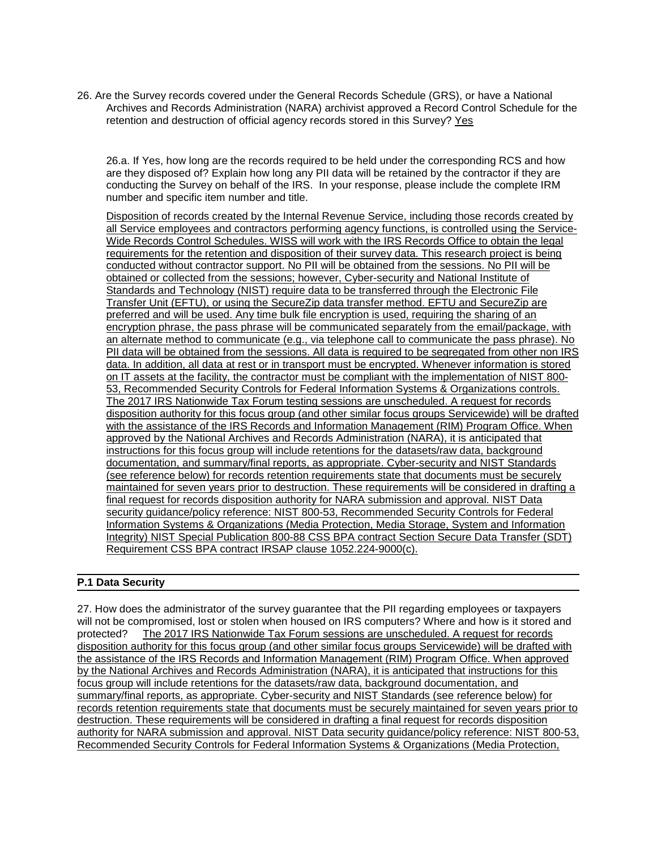26. Are the Survey records covered under the General Records Schedule (GRS), or have a National Archives and Records Administration (NARA) archivist approved a Record Control Schedule for the retention and destruction of official agency records stored in this Survey? Yes

26.a. If Yes, how long are the records required to be held under the corresponding RCS and how are they disposed of? Explain how long any PII data will be retained by the contractor if they are conducting the Survey on behalf of the IRS. In your response, please include the complete IRM number and specific item number and title.

Disposition of records created by the Internal Revenue Service, including those records created by all Service employees and contractors performing agency functions, is controlled using the Service-Wide Records Control Schedules. WISS will work with the IRS Records Office to obtain the legal requirements for the retention and disposition of their survey data. This research project is being conducted without contractor support. No PII will be obtained from the sessions. No PII will be obtained or collected from the sessions; however, Cyber-security and National Institute of Standards and Technology (NIST) require data to be transferred through the Electronic File Transfer Unit (EFTU), or using the SecureZip data transfer method. EFTU and SecureZip are preferred and will be used. Any time bulk file encryption is used, requiring the sharing of an encryption phrase, the pass phrase will be communicated separately from the email/package, with an alternate method to communicate (e.g., via telephone call to communicate the pass phrase). No PII data will be obtained from the sessions. All data is required to be segregated from other non IRS data. In addition, all data at rest or in transport must be encrypted. Whenever information is stored on IT assets at the facility, the contractor must be compliant with the implementation of NIST 800- 53, Recommended Security Controls for Federal Information Systems & Organizations controls. The 2017 IRS Nationwide Tax Forum testing sessions are unscheduled. A request for records disposition authority for this focus group (and other similar focus groups Servicewide) will be drafted with the assistance of the IRS Records and Information Management (RIM) Program Office. When approved by the National Archives and Records Administration (NARA), it is anticipated that instructions for this focus group will include retentions for the datasets/raw data, background documentation, and summary/final reports, as appropriate. Cyber-security and NIST Standards (see reference below) for records retention requirements state that documents must be securely maintained for seven years prior to destruction. These requirements will be considered in drafting a final request for records disposition authority for NARA submission and approval. NIST Data security guidance/policy reference: NIST 800-53, Recommended Security Controls for Federal Information Systems & Organizations (Media Protection, Media Storage, System and Information Integrity) NIST Special Publication 800-88 CSS BPA contract Section Secure Data Transfer (SDT) Requirement CSS BPA contract IRSAP clause 1052.224-9000(c).

# **P.1 Data Security**

27. How does the administrator of the survey guarantee that the PII regarding employees or taxpayers will not be compromised, lost or stolen when housed on IRS computers? Where and how is it stored and protected? The 2017 IRS Nationwide Tax Forum sessions are unscheduled. A request for records disposition authority for this focus group (and other similar focus groups Servicewide) will be drafted with the assistance of the IRS Records and Information Management (RIM) Program Office. When approved by the National Archives and Records Administration (NARA), it is anticipated that instructions for this focus group will include retentions for the datasets/raw data, background documentation, and summary/final reports, as appropriate. Cyber-security and NIST Standards (see reference below) for records retention requirements state that documents must be securely maintained for seven years prior to destruction. These requirements will be considered in drafting a final request for records disposition authority for NARA submission and approval. NIST Data security guidance/policy reference: NIST 800-53, Recommended Security Controls for Federal Information Systems & Organizations (Media Protection,